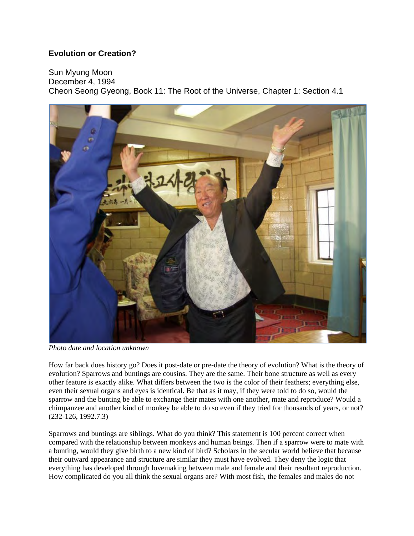## **Evolution or Creation?**

Sun Myung Moon

December 4, 1994 Cheon Seong Gyeong, Book 11: The Root of the Universe, Chapter 1: Section 4.1



*Photo date and location unknown*

How far back does history go? Does it post-date or pre-date the theory of evolution? What is the theory of evolution? Sparrows and buntings are cousins. They are the same. Their bone structure as well as every other feature is exactly alike. What differs between the two is the color of their feathers; everything else, even their sexual organs and eyes is identical. Be that as it may, if they were told to do so, would the sparrow and the bunting be able to exchange their mates with one another, mate and reproduce? Would a chimpanzee and another kind of monkey be able to do so even if they tried for thousands of years, or not? (232-126, 1992.7.3)

Sparrows and buntings are siblings. What do you think? This statement is 100 percent correct when compared with the relationship between monkeys and human beings. Then if a sparrow were to mate with a bunting, would they give birth to a new kind of bird? Scholars in the secular world believe that because their outward appearance and structure are similar they must have evolved. They deny the logic that everything has developed through lovemaking between male and female and their resultant reproduction. How complicated do you all think the sexual organs are? With most fish, the females and males do not